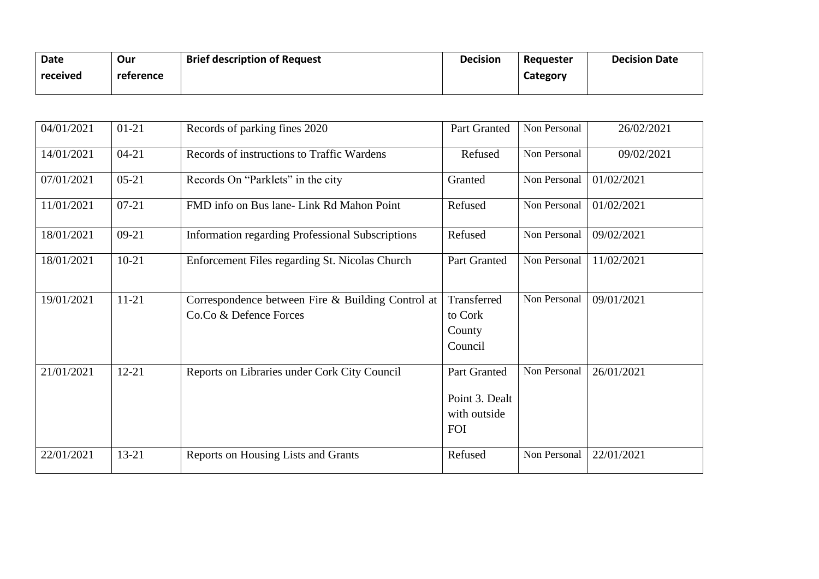| Date     | Our       | <b>Brief description of Request</b> | <b>Decision</b> | Requester | <b>Decision Date</b> |
|----------|-----------|-------------------------------------|-----------------|-----------|----------------------|
| received | reference |                                     |                 | Category  |                      |
|          |           |                                     |                 |           |                      |

| 04/01/2021 | $01 - 21$ | Records of parking fines 2020                                               | Part Granted                                                 | Non Personal | 26/02/2021 |
|------------|-----------|-----------------------------------------------------------------------------|--------------------------------------------------------------|--------------|------------|
| 14/01/2021 | $04 - 21$ | Records of instructions to Traffic Wardens                                  | Refused                                                      | Non Personal | 09/02/2021 |
| 07/01/2021 | $05 - 21$ | Records On "Parklets" in the city                                           | Granted                                                      | Non Personal | 01/02/2021 |
| 11/01/2021 | $07 - 21$ | FMD info on Bus lane- Link Rd Mahon Point                                   | Refused                                                      | Non Personal | 01/02/2021 |
| 18/01/2021 | $09 - 21$ | <b>Information regarding Professional Subscriptions</b>                     | Refused                                                      | Non Personal | 09/02/2021 |
| 18/01/2021 | $10 - 21$ | Enforcement Files regarding St. Nicolas Church                              | Part Granted                                                 | Non Personal | 11/02/2021 |
| 19/01/2021 | $11 - 21$ | Correspondence between Fire & Building Control at<br>Co.Co & Defence Forces | Transferred<br>to Cork<br>County<br>Council                  | Non Personal | 09/01/2021 |
| 21/01/2021 | $12 - 21$ | Reports on Libraries under Cork City Council                                | Part Granted<br>Point 3. Dealt<br>with outside<br><b>FOI</b> | Non Personal | 26/01/2021 |
| 22/01/2021 | $13 - 21$ | Reports on Housing Lists and Grants                                         | Refused                                                      | Non Personal | 22/01/2021 |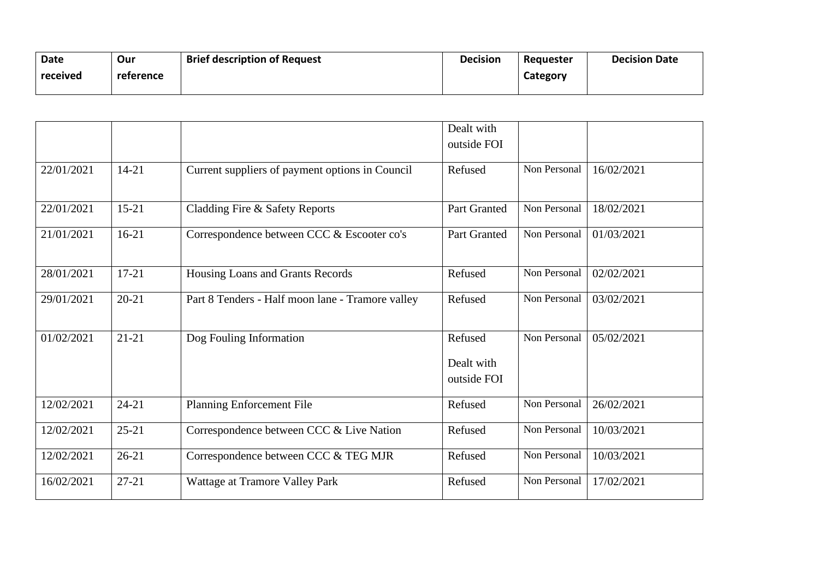| <b>Date</b> | Our       | <b>Brief description of Request</b> | <b>Decision</b> | Requester | <b>Decision Date</b> |
|-------------|-----------|-------------------------------------|-----------------|-----------|----------------------|
| received    | reference |                                     |                 | Category  |                      |
|             |           |                                     |                 |           |                      |

|            |           |                                                  | Dealt with                           |              |            |
|------------|-----------|--------------------------------------------------|--------------------------------------|--------------|------------|
|            |           |                                                  | outside FOI                          |              |            |
| 22/01/2021 | $14 - 21$ | Current suppliers of payment options in Council  | Refused                              | Non Personal | 16/02/2021 |
| 22/01/2021 | $15 - 21$ | Cladding Fire & Safety Reports                   | Part Granted                         | Non Personal | 18/02/2021 |
| 21/01/2021 | $16 - 21$ | Correspondence between CCC & Escooter co's       | <b>Part Granted</b>                  | Non Personal | 01/03/2021 |
| 28/01/2021 | $17 - 21$ | Housing Loans and Grants Records                 | Refused                              | Non Personal | 02/02/2021 |
| 29/01/2021 | $20 - 21$ | Part 8 Tenders - Half moon lane - Tramore valley | Refused                              | Non Personal | 03/02/2021 |
| 01/02/2021 | $21 - 21$ | Dog Fouling Information                          | Refused<br>Dealt with<br>outside FOI | Non Personal | 05/02/2021 |
| 12/02/2021 | $24 - 21$ | <b>Planning Enforcement File</b>                 | Refused                              | Non Personal | 26/02/2021 |
| 12/02/2021 | $25 - 21$ | Correspondence between CCC & Live Nation         | Refused                              | Non Personal | 10/03/2021 |
| 12/02/2021 | $26 - 21$ | Correspondence between CCC & TEG MJR             | Refused                              | Non Personal | 10/03/2021 |
| 16/02/2021 | $27 - 21$ | Wattage at Tramore Valley Park                   | Refused                              | Non Personal | 17/02/2021 |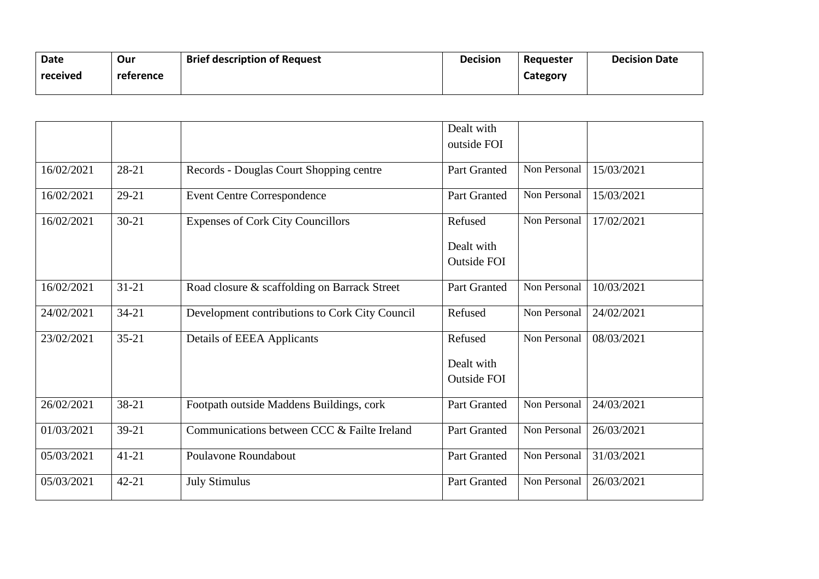| <b>Brief description of Request</b><br><b>Date</b><br>Our<br>received<br>reference | <b>Decision</b> | Requester<br>Category | <b>Decision Date</b> |
|------------------------------------------------------------------------------------|-----------------|-----------------------|----------------------|
|------------------------------------------------------------------------------------|-----------------|-----------------------|----------------------|

|            |           |                                                | Dealt with          |              |            |
|------------|-----------|------------------------------------------------|---------------------|--------------|------------|
|            |           |                                                | outside FOI         |              |            |
| 16/02/2021 | 28-21     | Records - Douglas Court Shopping centre        | <b>Part Granted</b> | Non Personal | 15/03/2021 |
| 16/02/2021 | $29 - 21$ | <b>Event Centre Correspondence</b>             | <b>Part Granted</b> | Non Personal | 15/03/2021 |
| 16/02/2021 | $30 - 21$ | <b>Expenses of Cork City Councillors</b>       | Refused             | Non Personal | 17/02/2021 |
|            |           |                                                | Dealt with          |              |            |
|            |           |                                                | <b>Outside FOI</b>  |              |            |
| 16/02/2021 | $31 - 21$ | Road closure & scaffolding on Barrack Street   | Part Granted        | Non Personal | 10/03/2021 |
| 24/02/2021 | $34 - 21$ | Development contributions to Cork City Council | Refused             | Non Personal | 24/02/2021 |
| 23/02/2021 | $35 - 21$ | <b>Details of EEEA Applicants</b>              | Refused             | Non Personal | 08/03/2021 |
|            |           |                                                | Dealt with          |              |            |
|            |           |                                                | <b>Outside FOI</b>  |              |            |
| 26/02/2021 | 38-21     | Footpath outside Maddens Buildings, cork       | <b>Part Granted</b> | Non Personal | 24/03/2021 |
| 01/03/2021 | $39 - 21$ | Communications between CCC & Failte Ireland    | Part Granted        | Non Personal | 26/03/2021 |
| 05/03/2021 | $41 - 21$ | Poulavone Roundabout                           | Part Granted        | Non Personal | 31/03/2021 |
| 05/03/2021 | $42 - 21$ | <b>July Stimulus</b>                           | Part Granted        | Non Personal | 26/03/2021 |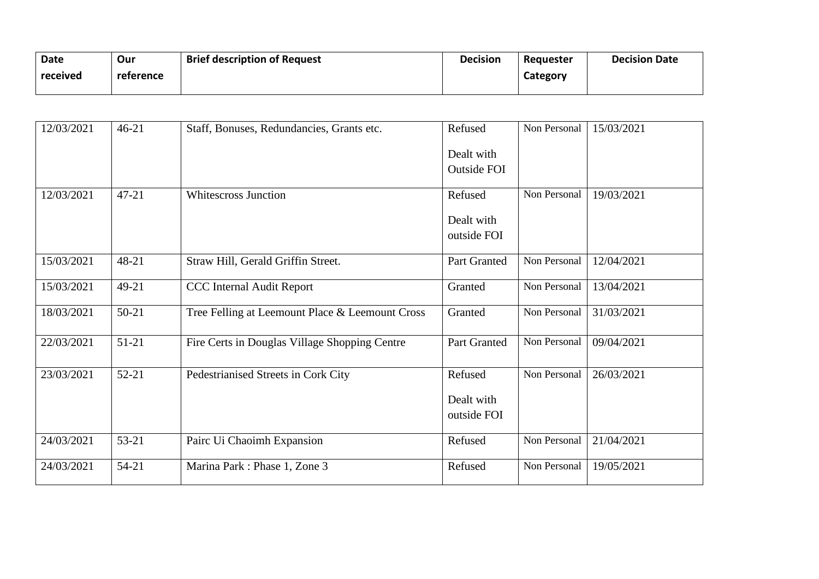| <b>Date</b> | Our       | <b>Brief description of Request</b> | <b>Decision</b> | Requester | <b>Decision Date</b> |
|-------------|-----------|-------------------------------------|-----------------|-----------|----------------------|
| received    | reference |                                     |                 | Category  |                      |
|             |           |                                     |                 |           |                      |

| 12/03/2021 | $46 - 21$ | Staff, Bonuses, Redundancies, Grants etc.       | Refused            | Non Personal | 15/03/2021 |
|------------|-----------|-------------------------------------------------|--------------------|--------------|------------|
|            |           |                                                 | Dealt with         |              |            |
|            |           |                                                 | <b>Outside FOI</b> |              |            |
| 12/03/2021 | $47 - 21$ | <b>Whitescross Junction</b>                     | Refused            | Non Personal | 19/03/2021 |
|            |           |                                                 | Dealt with         |              |            |
|            |           |                                                 | outside FOI        |              |            |
| 15/03/2021 | 48-21     | Straw Hill, Gerald Griffin Street.              | Part Granted       | Non Personal | 12/04/2021 |
| 15/03/2021 | 49-21     | <b>CCC</b> Internal Audit Report                | Granted            | Non Personal | 13/04/2021 |
| 18/03/2021 | $50 - 21$ | Tree Felling at Leemount Place & Leemount Cross | Granted            | Non Personal | 31/03/2021 |
| 22/03/2021 | $51-21$   | Fire Certs in Douglas Village Shopping Centre   | Part Granted       | Non Personal | 09/04/2021 |
| 23/03/2021 | $52 - 21$ | Pedestrianised Streets in Cork City             | Refused            | Non Personal | 26/03/2021 |
|            |           |                                                 | Dealt with         |              |            |
|            |           |                                                 | outside FOI        |              |            |
|            |           |                                                 |                    |              |            |
| 24/03/2021 | 53-21     | Pairc Ui Chaoimh Expansion                      | Refused            | Non Personal | 21/04/2021 |
| 24/03/2021 | $54 - 21$ | Marina Park: Phase 1, Zone 3                    | Refused            | Non Personal | 19/05/2021 |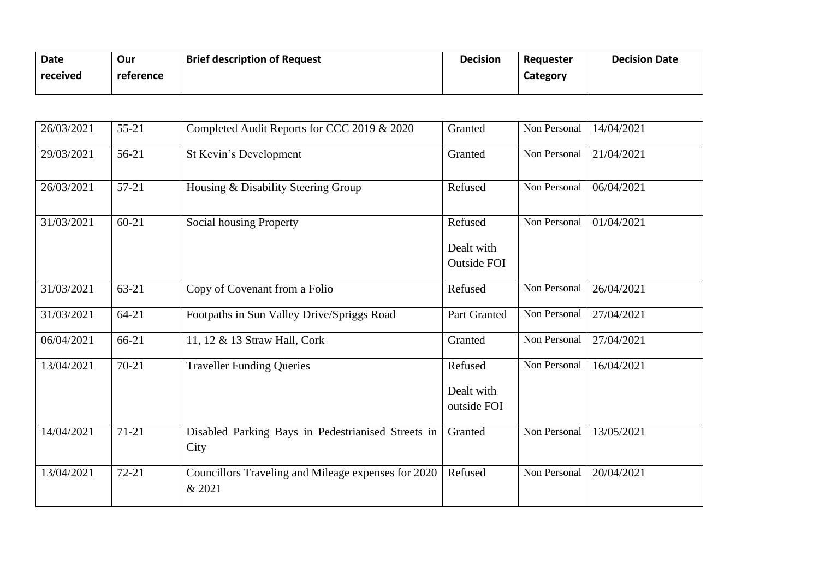| Date     | Our       | <b>Brief description of Request</b> | <b>Decision</b> | Requester | <b>Decision Date</b> |
|----------|-----------|-------------------------------------|-----------------|-----------|----------------------|
| received | reference |                                     |                 | Category  |                      |
|          |           |                                     |                 |           |                      |

| 26/03/2021 | $55 - 21$ | Completed Audit Reports for CCC 2019 & 2020                   | Granted                                     | Non Personal | 14/04/2021 |
|------------|-----------|---------------------------------------------------------------|---------------------------------------------|--------------|------------|
| 29/03/2021 | 56-21     | St Kevin's Development                                        | Granted                                     | Non Personal | 21/04/2021 |
| 26/03/2021 | $57-21$   | Housing & Disability Steering Group                           | Refused                                     | Non Personal | 06/04/2021 |
| 31/03/2021 | $60 - 21$ | Social housing Property                                       | Refused<br>Dealt with<br><b>Outside FOI</b> | Non Personal | 01/04/2021 |
| 31/03/2021 | $63 - 21$ | Copy of Covenant from a Folio                                 | Refused                                     | Non Personal | 26/04/2021 |
| 31/03/2021 | $64 - 21$ | Footpaths in Sun Valley Drive/Spriggs Road                    | Part Granted                                | Non Personal | 27/04/2021 |
| 06/04/2021 | 66-21     | 11, 12 & 13 Straw Hall, Cork                                  | Granted                                     | Non Personal | 27/04/2021 |
| 13/04/2021 | $70 - 21$ | <b>Traveller Funding Queries</b>                              | Refused<br>Dealt with<br>outside FOI        | Non Personal | 16/04/2021 |
| 14/04/2021 | $71 - 21$ | Disabled Parking Bays in Pedestrianised Streets in<br>City    | Granted                                     | Non Personal | 13/05/2021 |
| 13/04/2021 | $72 - 21$ | Councillors Traveling and Mileage expenses for 2020<br>& 2021 | Refused                                     | Non Personal | 20/04/2021 |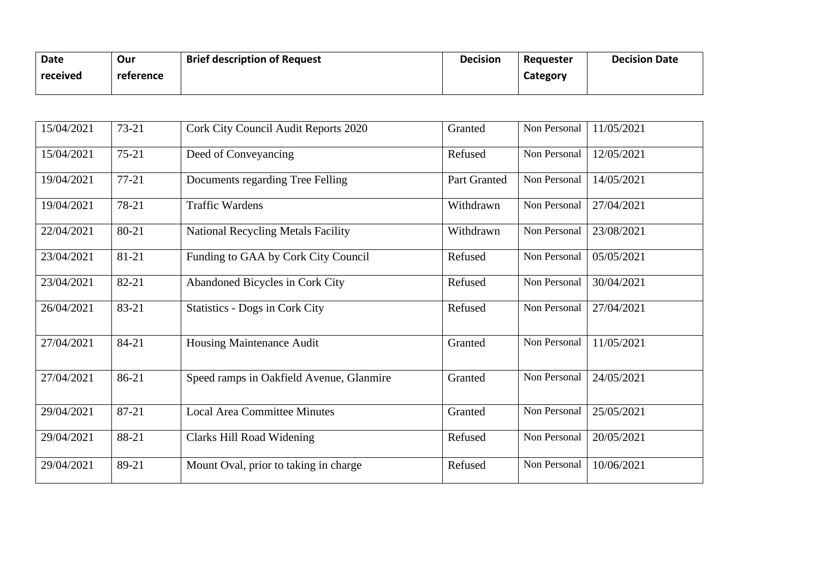| Date     | Our       | <b>Brief description of Request</b> | <b>Decision</b> | Reguester | <b>Decision Date</b> |
|----------|-----------|-------------------------------------|-----------------|-----------|----------------------|
| received | reference |                                     |                 | Category  |                      |
|          |           |                                     |                 |           |                      |

| 15/04/2021 | $73 - 21$ | Cork City Council Audit Reports 2020      | Granted      | Non Personal | 11/05/2021 |
|------------|-----------|-------------------------------------------|--------------|--------------|------------|
| 15/04/2021 | $75 - 21$ | Deed of Conveyancing                      | Refused      | Non Personal | 12/05/2021 |
| 19/04/2021 | $77 - 21$ | Documents regarding Tree Felling          | Part Granted | Non Personal | 14/05/2021 |
| 19/04/2021 | 78-21     | <b>Traffic Wardens</b>                    | Withdrawn    | Non Personal | 27/04/2021 |
| 22/04/2021 | 80-21     | <b>National Recycling Metals Facility</b> | Withdrawn    | Non Personal | 23/08/2021 |
| 23/04/2021 | 81-21     | Funding to GAA by Cork City Council       | Refused      | Non Personal | 05/05/2021 |
| 23/04/2021 | 82-21     | Abandoned Bicycles in Cork City           | Refused      | Non Personal | 30/04/2021 |
| 26/04/2021 | 83-21     | <b>Statistics - Dogs in Cork City</b>     | Refused      | Non Personal | 27/04/2021 |
| 27/04/2021 | 84-21     | Housing Maintenance Audit                 | Granted      | Non Personal | 11/05/2021 |
| 27/04/2021 | 86-21     | Speed ramps in Oakfield Avenue, Glanmire  | Granted      | Non Personal | 24/05/2021 |
| 29/04/2021 | 87-21     | <b>Local Area Committee Minutes</b>       | Granted      | Non Personal | 25/05/2021 |
| 29/04/2021 | 88-21     | Clarks Hill Road Widening                 | Refused      | Non Personal | 20/05/2021 |
| 29/04/2021 | 89-21     | Mount Oval, prior to taking in charge     | Refused      | Non Personal | 10/06/2021 |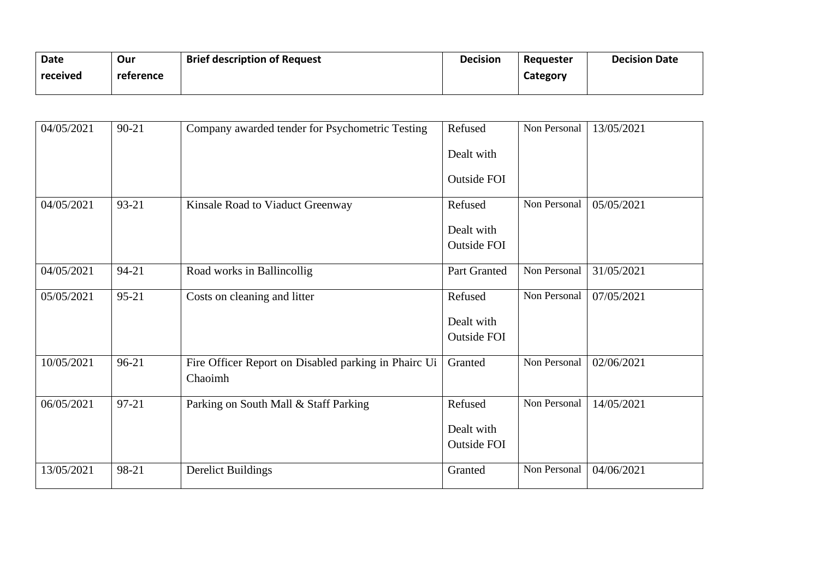| Date     | Our       | <b>Brief description of Request</b> | <b>Decision</b> | Requester | <b>Decision Date</b> |
|----------|-----------|-------------------------------------|-----------------|-----------|----------------------|
| received | reference |                                     |                 | Category  |                      |
|          |           |                                     |                 |           |                      |

| 04/05/2021 | $90 - 21$ | Company awarded tender for Psychometric Testing                 | Refused<br>Dealt with<br>Outside FOI | Non Personal | 13/05/2021 |
|------------|-----------|-----------------------------------------------------------------|--------------------------------------|--------------|------------|
| 04/05/2021 | 93-21     | Kinsale Road to Viaduct Greenway                                | Refused<br>Dealt with<br>Outside FOI | Non Personal | 05/05/2021 |
| 04/05/2021 | $94 - 21$ | Road works in Ballincollig                                      | Part Granted                         | Non Personal | 31/05/2021 |
| 05/05/2021 | $95 - 21$ | Costs on cleaning and litter                                    | Refused<br>Dealt with<br>Outside FOI | Non Personal | 07/05/2021 |
| 10/05/2021 | 96-21     | Fire Officer Report on Disabled parking in Phairc Ui<br>Chaoimh | Granted                              | Non Personal | 02/06/2021 |
| 06/05/2021 | $97 - 21$ | Parking on South Mall & Staff Parking                           | Refused<br>Dealt with<br>Outside FOI | Non Personal | 14/05/2021 |
| 13/05/2021 | 98-21     | <b>Derelict Buildings</b>                                       | Granted                              | Non Personal | 04/06/2021 |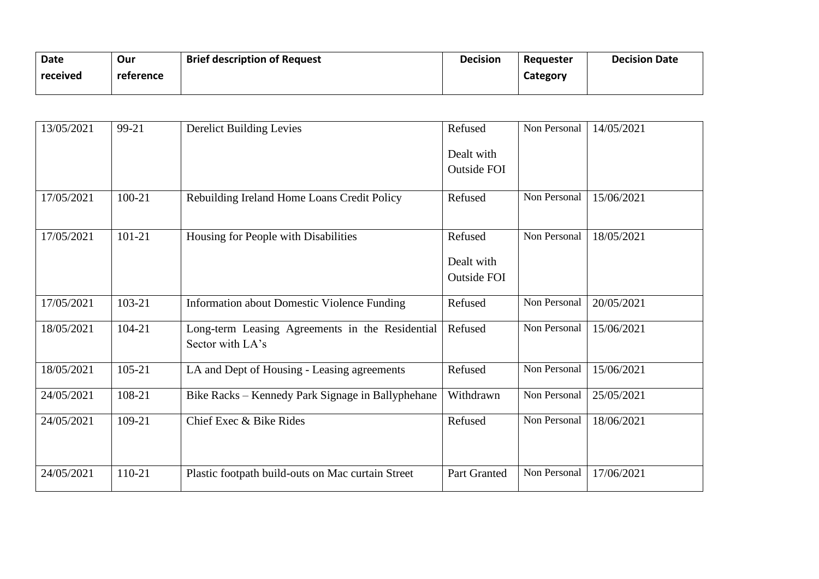| <b>Date</b> | Our       | <b>Brief description of Request</b> | <b>Decision</b> | Requester | <b>Decision Date</b> |
|-------------|-----------|-------------------------------------|-----------------|-----------|----------------------|
| received    | reference |                                     |                 | Category  |                      |
|             |           |                                     |                 |           |                      |

| 13/05/2021 | 99-21      | <b>Derelict Building Levies</b>                    | Refused            | Non Personal | 14/05/2021 |
|------------|------------|----------------------------------------------------|--------------------|--------------|------------|
|            |            |                                                    | Dealt with         |              |            |
|            |            |                                                    | <b>Outside FOI</b> |              |            |
|            |            |                                                    |                    |              |            |
| 17/05/2021 | 100-21     | Rebuilding Ireland Home Loans Credit Policy        | Refused            | Non Personal | 15/06/2021 |
| 17/05/2021 | $101 - 21$ | Housing for People with Disabilities               | Refused            | Non Personal | 18/05/2021 |
|            |            |                                                    |                    |              |            |
|            |            |                                                    | Dealt with         |              |            |
|            |            |                                                    | <b>Outside FOI</b> |              |            |
| 17/05/2021 | 103-21     | <b>Information about Domestic Violence Funding</b> | Refused            | Non Personal | 20/05/2021 |
| 18/05/2021 | 104-21     | Long-term Leasing Agreements in the Residential    | Refused            | Non Personal | 15/06/2021 |
|            |            | Sector with LA's                                   |                    |              |            |
| 18/05/2021 | $105 - 21$ | LA and Dept of Housing - Leasing agreements        | Refused            | Non Personal | 15/06/2021 |
|            |            |                                                    |                    |              |            |
| 24/05/2021 | 108-21     | Bike Racks – Kennedy Park Signage in Ballyphehane  | Withdrawn          | Non Personal | 25/05/2021 |
| 24/05/2021 | 109-21     | Chief Exec & Bike Rides                            | Refused            | Non Personal | 18/06/2021 |
|            |            |                                                    |                    |              |            |
|            |            |                                                    |                    |              |            |
| 24/05/2021 | 110-21     | Plastic footpath build-outs on Mac curtain Street  | Part Granted       | Non Personal | 17/06/2021 |
|            |            |                                                    |                    |              |            |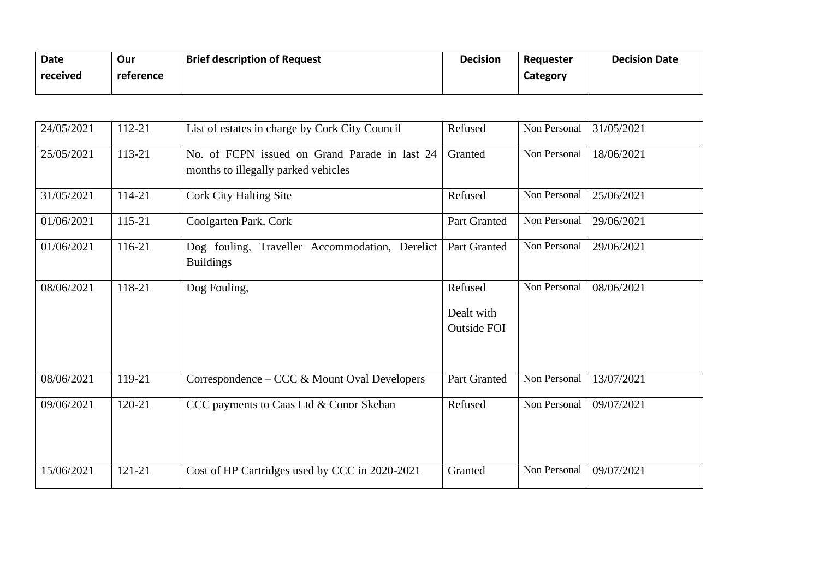| <b>Date</b> | Our       | <b>Brief description of Request</b> | <b>Decision</b> | Requester | <b>Decision Date</b> |
|-------------|-----------|-------------------------------------|-----------------|-----------|----------------------|
| received    | reference |                                     |                 | Category  |                      |
|             |           |                                     |                 |           |                      |

| 24/05/2021 | 112-21 | List of estates in charge by Cork City Council                                       | Refused                                     | Non Personal | 31/05/2021 |
|------------|--------|--------------------------------------------------------------------------------------|---------------------------------------------|--------------|------------|
| 25/05/2021 | 113-21 | No. of FCPN issued on Grand Parade in last 24<br>months to illegally parked vehicles | Granted                                     | Non Personal | 18/06/2021 |
| 31/05/2021 | 114-21 | <b>Cork City Halting Site</b>                                                        | Refused                                     | Non Personal | 25/06/2021 |
| 01/06/2021 | 115-21 | Coolgarten Park, Cork                                                                | Part Granted                                | Non Personal | 29/06/2021 |
| 01/06/2021 | 116-21 | Dog fouling, Traveller Accommodation, Derelict<br><b>Buildings</b>                   | Part Granted                                | Non Personal | 29/06/2021 |
| 08/06/2021 | 118-21 | Dog Fouling,                                                                         | Refused<br>Dealt with<br><b>Outside FOI</b> | Non Personal | 08/06/2021 |
| 08/06/2021 | 119-21 | Correspondence – CCC & Mount Oval Developers                                         | Part Granted                                | Non Personal | 13/07/2021 |
| 09/06/2021 | 120-21 | CCC payments to Caas Ltd & Conor Skehan                                              | Refused                                     | Non Personal | 09/07/2021 |
| 15/06/2021 | 121-21 | Cost of HP Cartridges used by CCC in 2020-2021                                       | Granted                                     | Non Personal | 09/07/2021 |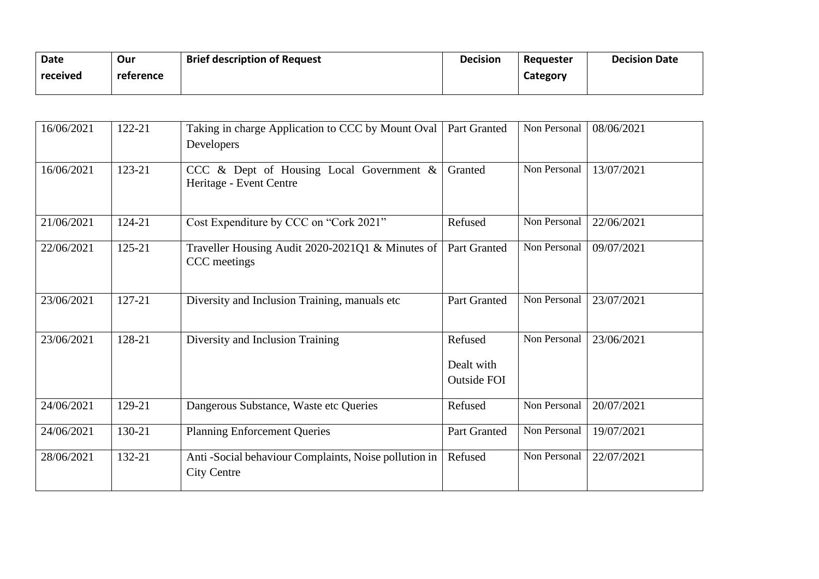| <b>Date</b> | Our       | <b>Brief description of Request</b> | <b>Decision</b> | Reauester | <b>Decision Date</b> |
|-------------|-----------|-------------------------------------|-----------------|-----------|----------------------|
| received    | reference |                                     |                 | Category  |                      |
|             |           |                                     |                 |           |                      |

| 16/06/2021 | 122-21 | Taking in charge Application to CCC by Mount Oval<br>Developers            | Part Granted                                | Non Personal | 08/06/2021 |
|------------|--------|----------------------------------------------------------------------------|---------------------------------------------|--------------|------------|
| 16/06/2021 | 123-21 | CCC & Dept of Housing Local Government &<br>Heritage - Event Centre        | Granted                                     | Non Personal | 13/07/2021 |
| 21/06/2021 | 124-21 | Cost Expenditure by CCC on "Cork 2021"                                     | Refused                                     | Non Personal | 22/06/2021 |
| 22/06/2021 | 125-21 | Traveller Housing Audit 2020-2021Q1 & Minutes of<br>CCC meetings           | Part Granted                                | Non Personal | 09/07/2021 |
| 23/06/2021 | 127-21 | Diversity and Inclusion Training, manuals etc                              | Part Granted                                | Non Personal | 23/07/2021 |
| 23/06/2021 | 128-21 | Diversity and Inclusion Training                                           | Refused<br>Dealt with<br><b>Outside FOI</b> | Non Personal | 23/06/2021 |
| 24/06/2021 | 129-21 | Dangerous Substance, Waste etc Queries                                     | Refused                                     | Non Personal | 20/07/2021 |
| 24/06/2021 | 130-21 | <b>Planning Enforcement Queries</b>                                        | Part Granted                                | Non Personal | 19/07/2021 |
| 28/06/2021 | 132-21 | Anti-Social behaviour Complaints, Noise pollution in<br><b>City Centre</b> | Refused                                     | Non Personal | 22/07/2021 |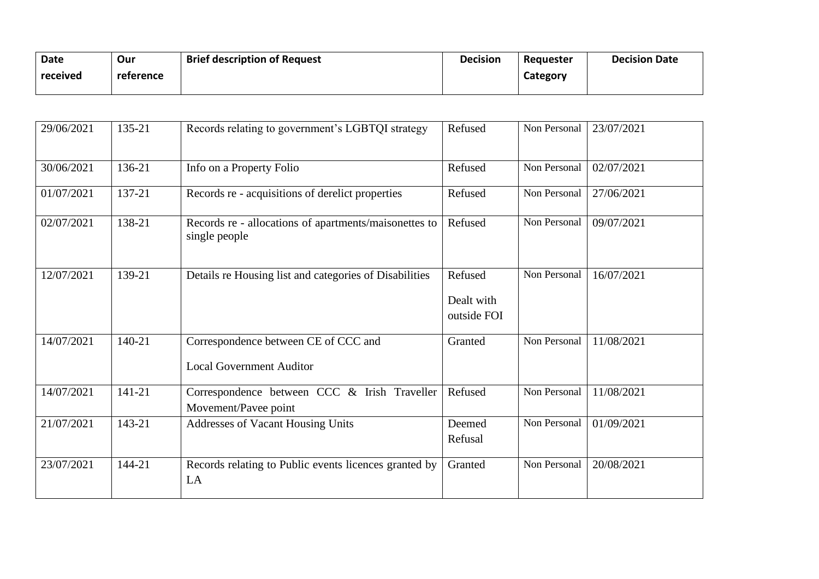| Date     | Our       | <b>Brief description of Request</b> | <b>Decision</b> | Requester | <b>Decision Date</b> |
|----------|-----------|-------------------------------------|-----------------|-----------|----------------------|
| received | reference |                                     |                 | Category  |                      |
|          |           |                                     |                 |           |                      |

| 29/06/2021 | 135-21 | Records relating to government's LGBTQI strategy                        | Refused                              | Non Personal | 23/07/2021 |
|------------|--------|-------------------------------------------------------------------------|--------------------------------------|--------------|------------|
| 30/06/2021 | 136-21 | Info on a Property Folio                                                | Refused                              | Non Personal | 02/07/2021 |
| 01/07/2021 | 137-21 | Records re - acquisitions of derelict properties                        | Refused                              | Non Personal | 27/06/2021 |
| 02/07/2021 | 138-21 | Records re - allocations of apartments/maisonettes to<br>single people  | Refused                              | Non Personal | 09/07/2021 |
| 12/07/2021 | 139-21 | Details re Housing list and categories of Disabilities                  | Refused<br>Dealt with<br>outside FOI | Non Personal | 16/07/2021 |
| 14/07/2021 | 140-21 | Correspondence between CE of CCC and<br><b>Local Government Auditor</b> | Granted                              | Non Personal | 11/08/2021 |
| 14/07/2021 | 141-21 | Correspondence between CCC & Irish Traveller<br>Movement/Pavee point    | Refused                              | Non Personal | 11/08/2021 |
| 21/07/2021 | 143-21 | <b>Addresses of Vacant Housing Units</b>                                | Deemed<br>Refusal                    | Non Personal | 01/09/2021 |
| 23/07/2021 | 144-21 | Records relating to Public events licences granted by<br>LA             | Granted                              | Non Personal | 20/08/2021 |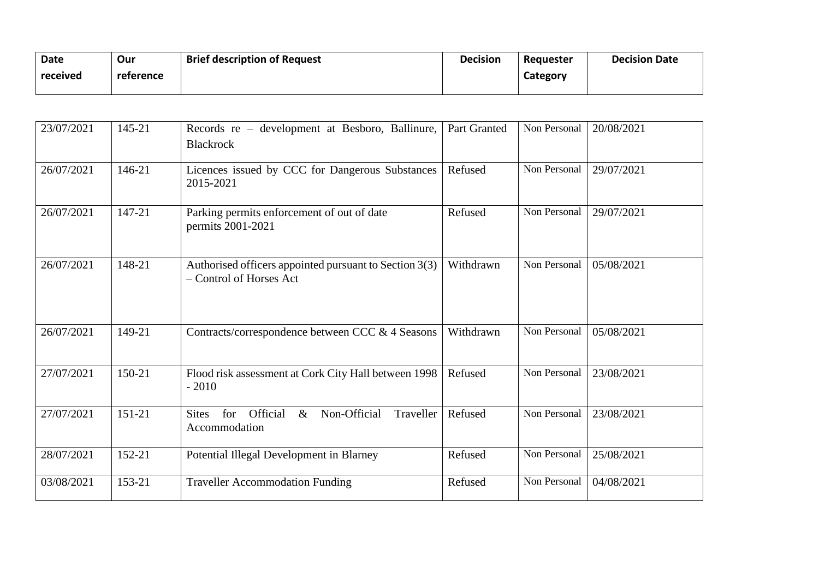| <b>Date</b> | Our       | <b>Brief description of Request</b> | <b>Decision</b> | Requester | <b>Decision Date</b> |
|-------------|-----------|-------------------------------------|-----------------|-----------|----------------------|
| received    | reference |                                     |                 | Category  |                      |
|             |           |                                     |                 |           |                      |

| 23/07/2021 | 145-21 | Records re – development at Besboro, Ballinure,<br><b>Blackrock</b>                   | Part Granted | Non Personal | 20/08/2021 |
|------------|--------|---------------------------------------------------------------------------------------|--------------|--------------|------------|
| 26/07/2021 | 146-21 | Licences issued by CCC for Dangerous Substances<br>2015-2021                          | Refused      | Non Personal | 29/07/2021 |
| 26/07/2021 | 147-21 | Parking permits enforcement of out of date<br>permits 2001-2021                       | Refused      | Non Personal | 29/07/2021 |
| 26/07/2021 | 148-21 | Authorised officers appointed pursuant to Section 3(3)<br>- Control of Horses Act     | Withdrawn    | Non Personal | 05/08/2021 |
| 26/07/2021 | 149-21 | Contracts/correspondence between CCC & 4 Seasons                                      | Withdrawn    | Non Personal | 05/08/2021 |
| 27/07/2021 | 150-21 | Flood risk assessment at Cork City Hall between 1998<br>$-2010$                       | Refused      | Non Personal | 23/08/2021 |
| 27/07/2021 | 151-21 | Official<br>Non-Official<br>for<br>$\&$<br>Traveller<br><b>Sites</b><br>Accommodation | Refused      | Non Personal | 23/08/2021 |
| 28/07/2021 | 152-21 | Potential Illegal Development in Blarney                                              | Refused      | Non Personal | 25/08/2021 |
| 03/08/2021 | 153-21 | <b>Traveller Accommodation Funding</b>                                                | Refused      | Non Personal | 04/08/2021 |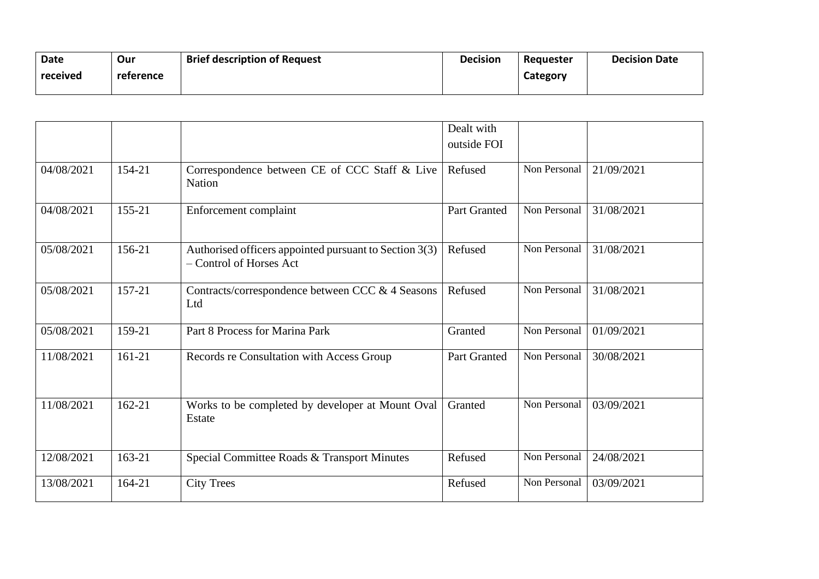| <b>Date</b> | Our       | <b>Brief description of Request</b> | <b>Decision</b> | Requester | <b>Decision Date</b> |
|-------------|-----------|-------------------------------------|-----------------|-----------|----------------------|
| received    | reference |                                     |                 | Category  |                      |
|             |           |                                     |                 |           |                      |

|            |            |                                                                                   | Dealt with   |              |            |
|------------|------------|-----------------------------------------------------------------------------------|--------------|--------------|------------|
|            |            |                                                                                   | outside FOI  |              |            |
| 04/08/2021 | 154-21     | Correspondence between CE of CCC Staff & Live<br><b>Nation</b>                    | Refused      | Non Personal | 21/09/2021 |
| 04/08/2021 | 155-21     | Enforcement complaint                                                             | Part Granted | Non Personal | 31/08/2021 |
| 05/08/2021 | 156-21     | Authorised officers appointed pursuant to Section 3(3)<br>- Control of Horses Act | Refused      | Non Personal | 31/08/2021 |
| 05/08/2021 | 157-21     | Contracts/correspondence between CCC & 4 Seasons<br>Ltd                           | Refused      | Non Personal | 31/08/2021 |
| 05/08/2021 | 159-21     | Part 8 Process for Marina Park                                                    | Granted      | Non Personal | 01/09/2021 |
| 11/08/2021 | 161-21     | Records re Consultation with Access Group                                         | Part Granted | Non Personal | 30/08/2021 |
| 11/08/2021 | $162 - 21$ | Works to be completed by developer at Mount Oval<br>Estate                        | Granted      | Non Personal | 03/09/2021 |
| 12/08/2021 | 163-21     | Special Committee Roads & Transport Minutes                                       | Refused      | Non Personal | 24/08/2021 |
| 13/08/2021 | 164-21     | <b>City Trees</b>                                                                 | Refused      | Non Personal | 03/09/2021 |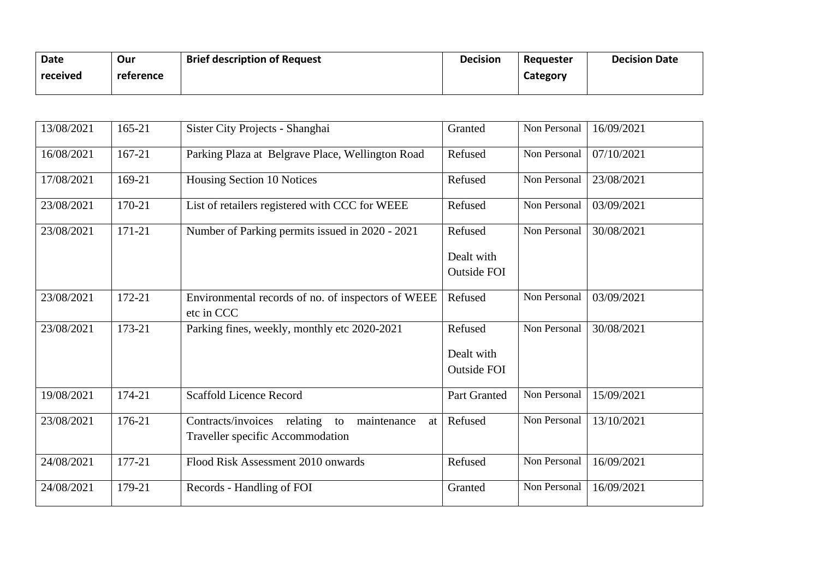| Date     | Our       | <b>Brief description of Request</b> | <b>Decision</b> | Reguester | <b>Decision Date</b> |
|----------|-----------|-------------------------------------|-----------------|-----------|----------------------|
| received | reference |                                     |                 | Category  |                      |
|          |           |                                     |                 |           |                      |

| 13/08/2021 | 165-21 | Sister City Projects - Shanghai                                  | Granted            | Non Personal | 16/09/2021 |
|------------|--------|------------------------------------------------------------------|--------------------|--------------|------------|
| 16/08/2021 | 167-21 | Parking Plaza at Belgrave Place, Wellington Road                 | Refused            | Non Personal | 07/10/2021 |
| 17/08/2021 | 169-21 | Housing Section 10 Notices                                       | Refused            | Non Personal | 23/08/2021 |
| 23/08/2021 | 170-21 | List of retailers registered with CCC for WEEE                   | Refused            | Non Personal | 03/09/2021 |
| 23/08/2021 | 171-21 | Number of Parking permits issued in 2020 - 2021                  | Refused            | Non Personal | 30/08/2021 |
|            |        |                                                                  | Dealt with         |              |            |
|            |        |                                                                  | <b>Outside FOI</b> |              |            |
|            |        |                                                                  |                    |              |            |
| 23/08/2021 | 172-21 | Environmental records of no. of inspectors of WEEE<br>etc in CCC | Refused            | Non Personal | 03/09/2021 |
| 23/08/2021 | 173-21 | Parking fines, weekly, monthly etc 2020-2021                     | Refused            | Non Personal | 30/08/2021 |
|            |        |                                                                  | Dealt with         |              |            |
|            |        |                                                                  | <b>Outside FOI</b> |              |            |
|            |        |                                                                  |                    |              |            |
| 19/08/2021 | 174-21 | <b>Scaffold Licence Record</b>                                   | Part Granted       | Non Personal | 15/09/2021 |
| 23/08/2021 | 176-21 | Contracts/invoices relating to<br>maintenance<br>at              | Refused            | Non Personal | 13/10/2021 |
|            |        | Traveller specific Accommodation                                 |                    |              |            |
| 24/08/2021 | 177-21 | Flood Risk Assessment 2010 onwards                               | Refused            | Non Personal | 16/09/2021 |
| 24/08/2021 | 179-21 | Records - Handling of FOI                                        | Granted            | Non Personal | 16/09/2021 |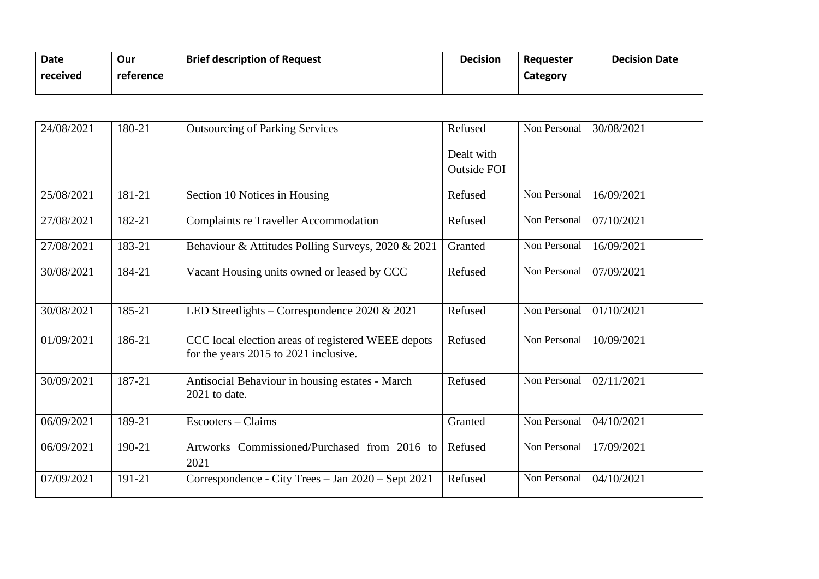| Date     | Our       | <b>Brief description of Request</b> | <b>Decision</b> | Requester | <b>Decision Date</b> |
|----------|-----------|-------------------------------------|-----------------|-----------|----------------------|
| received | reference |                                     |                 | Category  |                      |
|          |           |                                     |                 |           |                      |

| 24/08/2021 | 180-21 | <b>Outsourcing of Parking Services</b>                                                      | Refused            | Non Personal | 30/08/2021 |
|------------|--------|---------------------------------------------------------------------------------------------|--------------------|--------------|------------|
|            |        |                                                                                             | Dealt with         |              |            |
|            |        |                                                                                             | <b>Outside FOI</b> |              |            |
| 25/08/2021 | 181-21 | Section 10 Notices in Housing                                                               | Refused            | Non Personal | 16/09/2021 |
| 27/08/2021 | 182-21 | <b>Complaints re Traveller Accommodation</b>                                                | Refused            | Non Personal | 07/10/2021 |
| 27/08/2021 | 183-21 | Behaviour & Attitudes Polling Surveys, 2020 & 2021                                          | Granted            | Non Personal | 16/09/2021 |
| 30/08/2021 | 184-21 | Vacant Housing units owned or leased by CCC                                                 | Refused            | Non Personal | 07/09/2021 |
| 30/08/2021 | 185-21 | LED Streetlights – Correspondence $2020 \& 2021$                                            | Refused            | Non Personal | 01/10/2021 |
| 01/09/2021 | 186-21 | CCC local election areas of registered WEEE depots<br>for the years 2015 to 2021 inclusive. | Refused            | Non Personal | 10/09/2021 |
| 30/09/2021 | 187-21 | Antisocial Behaviour in housing estates - March<br>2021 to date.                            | Refused            | Non Personal | 02/11/2021 |
| 06/09/2021 | 189-21 | Escooters - Claims                                                                          | Granted            | Non Personal | 04/10/2021 |
| 06/09/2021 | 190-21 | Artworks Commissioned/Purchased from 2016 to<br>2021                                        | Refused            | Non Personal | 17/09/2021 |
| 07/09/2021 | 191-21 | Correspondence - City Trees - Jan 2020 - Sept 2021                                          | Refused            | Non Personal | 04/10/2021 |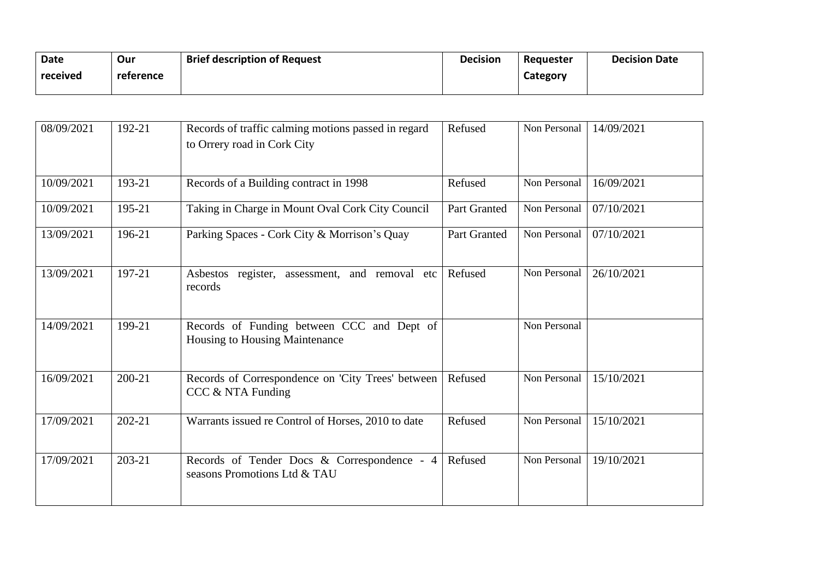| Date     | Our       | <b>Brief description of Request</b> | <b>Decision</b> | Requester | <b>Decision Date</b> |
|----------|-----------|-------------------------------------|-----------------|-----------|----------------------|
| received | reference |                                     |                 | Category  |                      |
|          |           |                                     |                 |           |                      |

| 08/09/2021 | 192-21 | Records of traffic calming motions passed in regard<br>to Orrery road in Cork City | Refused      | Non Personal | 14/09/2021 |
|------------|--------|------------------------------------------------------------------------------------|--------------|--------------|------------|
| 10/09/2021 | 193-21 | Records of a Building contract in 1998                                             | Refused      | Non Personal | 16/09/2021 |
| 10/09/2021 | 195-21 | Taking in Charge in Mount Oval Cork City Council                                   | Part Granted | Non Personal | 07/10/2021 |
| 13/09/2021 | 196-21 | Parking Spaces - Cork City & Morrison's Quay                                       | Part Granted | Non Personal | 07/10/2021 |
| 13/09/2021 | 197-21 | register, assessment, and removal etc<br>Asbestos<br>records                       | Refused      | Non Personal | 26/10/2021 |
| 14/09/2021 | 199-21 | Records of Funding between CCC and Dept of<br>Housing to Housing Maintenance       |              | Non Personal |            |
| 16/09/2021 | 200-21 | Records of Correspondence on 'City Trees' between<br>$CCC & NTA$ Funding           | Refused      | Non Personal | 15/10/2021 |
| 17/09/2021 | 202-21 | Warrants issued re Control of Horses, 2010 to date                                 | Refused      | Non Personal | 15/10/2021 |
| 17/09/2021 | 203-21 | Records of Tender Docs & Correspondence - 4<br>seasons Promotions Ltd & TAU        | Refused      | Non Personal | 19/10/2021 |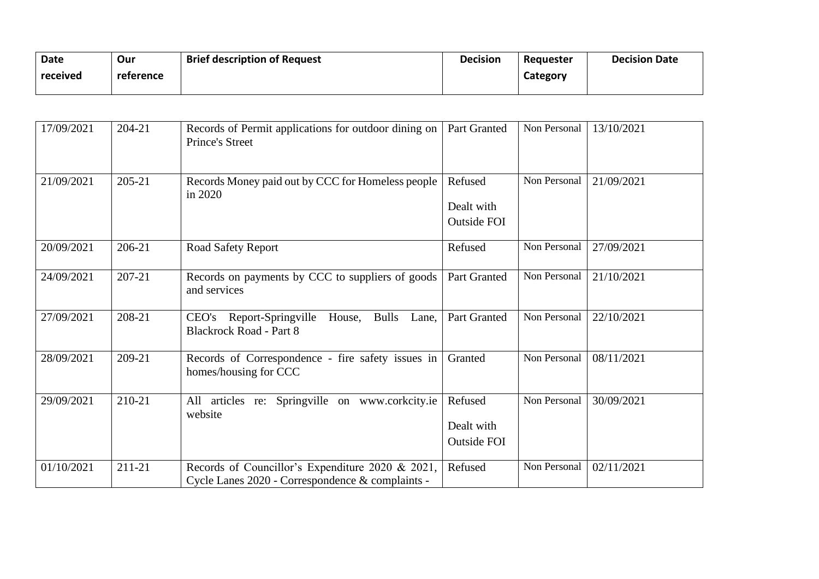| Date     | Our       | <b>Brief description of Request</b> | <b>Decision</b> | Requester | <b>Decision Date</b> |
|----------|-----------|-------------------------------------|-----------------|-----------|----------------------|
| received | reference |                                     |                 | Category  |                      |
|          |           |                                     |                 |           |                      |

| 17/09/2021 | 204-21 | Records of Permit applications for outdoor dining on<br><b>Prince's Street</b>                       | Part Granted                                | Non Personal | 13/10/2021 |
|------------|--------|------------------------------------------------------------------------------------------------------|---------------------------------------------|--------------|------------|
| 21/09/2021 | 205-21 | Records Money paid out by CCC for Homeless people<br>in 2020                                         | Refused<br>Dealt with<br><b>Outside FOI</b> | Non Personal | 21/09/2021 |
| 20/09/2021 | 206-21 | <b>Road Safety Report</b>                                                                            | Refused                                     | Non Personal | 27/09/2021 |
| 24/09/2021 | 207-21 | Records on payments by CCC to suppliers of goods<br>and services                                     | Part Granted                                | Non Personal | 21/10/2021 |
| 27/09/2021 | 208-21 | CEO's Report-Springville<br><b>Bulls</b><br>House,<br>Lane,<br><b>Blackrock Road - Part 8</b>        | Part Granted                                | Non Personal | 22/10/2021 |
| 28/09/2021 | 209-21 | Records of Correspondence - fire safety issues in<br>homes/housing for CCC                           | Granted                                     | Non Personal | 08/11/2021 |
| 29/09/2021 | 210-21 | Springville on www.corkcity.ie<br>All articles re:<br>website                                        | Refused<br>Dealt with<br><b>Outside FOI</b> | Non Personal | 30/09/2021 |
| 01/10/2021 | 211-21 | Records of Councillor's Expenditure 2020 & 2021,<br>Cycle Lanes 2020 - Correspondence & complaints - | Refused                                     | Non Personal | 02/11/2021 |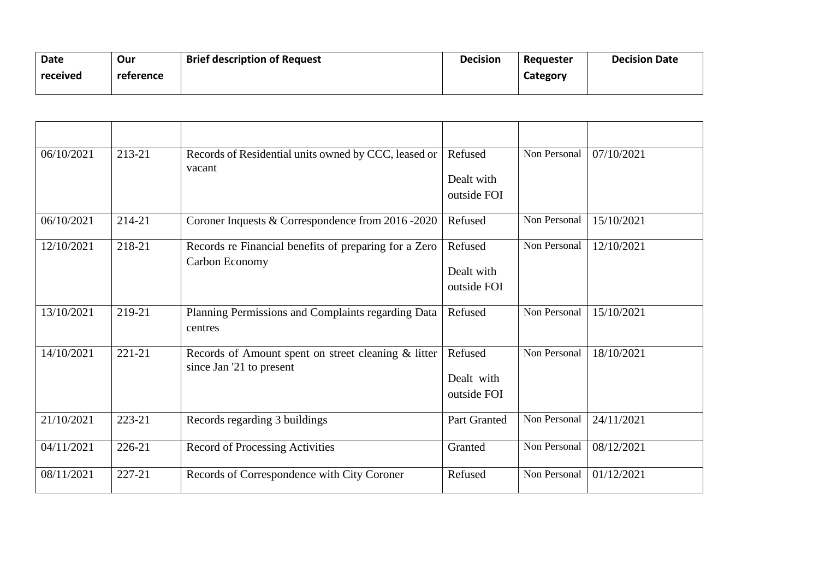| Date     | Our       | <b>Brief description of Request</b> | <b>Decision</b> | Requester | <b>Decision Date</b> |
|----------|-----------|-------------------------------------|-----------------|-----------|----------------------|
| received | reference |                                     |                 | Category  |                      |
|          |           |                                     |                 |           |                      |

| 06/10/2021 | 213-21     | Records of Residential units owned by CCC, leased or<br>vacant                  | Refused<br>Dealt with<br>outside FOI | Non Personal | 07/10/2021 |
|------------|------------|---------------------------------------------------------------------------------|--------------------------------------|--------------|------------|
| 06/10/2021 | 214-21     | Coroner Inquests & Correspondence from 2016 -2020                               | Refused                              | Non Personal | 15/10/2021 |
| 12/10/2021 | 218-21     | Records re Financial benefits of preparing for a Zero<br>Carbon Economy         | Refused<br>Dealt with<br>outside FOI | Non Personal | 12/10/2021 |
| 13/10/2021 | 219-21     | Planning Permissions and Complaints regarding Data<br>centres                   | Refused                              | Non Personal | 15/10/2021 |
| 14/10/2021 | $221 - 21$ | Records of Amount spent on street cleaning & litter<br>since Jan '21 to present | Refused<br>Dealt with<br>outside FOI | Non Personal | 18/10/2021 |
| 21/10/2021 | 223-21     | Records regarding 3 buildings                                                   | Part Granted                         | Non Personal | 24/11/2021 |
| 04/11/2021 | 226-21     | <b>Record of Processing Activities</b>                                          | Granted                              | Non Personal | 08/12/2021 |
| 08/11/2021 | 227-21     | Records of Correspondence with City Coroner                                     | Refused                              | Non Personal | 01/12/2021 |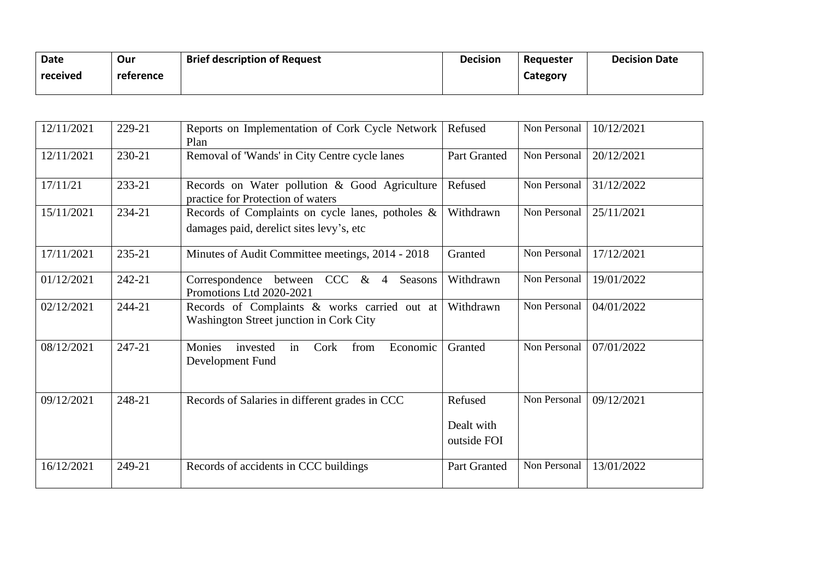| <b>Date</b> | Our       | <b>Brief description of Request</b> | <b>Decision</b> | Requester | <b>Decision Date</b> |
|-------------|-----------|-------------------------------------|-----------------|-----------|----------------------|
| received    | reference |                                     |                 | Category  |                      |
|             |           |                                     |                 |           |                      |

| 12/11/2021 | 229-21 | Reports on Implementation of Cork Cycle Network<br>Plan                                      | Refused                              | Non Personal | 10/12/2021 |
|------------|--------|----------------------------------------------------------------------------------------------|--------------------------------------|--------------|------------|
| 12/11/2021 | 230-21 | Removal of 'Wands' in City Centre cycle lanes                                                | Part Granted                         | Non Personal | 20/12/2021 |
| 17/11/21   | 233-21 | Records on Water pollution & Good Agriculture<br>practice for Protection of waters           | Refused                              | Non Personal | 31/12/2022 |
| 15/11/2021 | 234-21 | Records of Complaints on cycle lanes, potholes &<br>damages paid, derelict sites levy's, etc | Withdrawn                            | Non Personal | 25/11/2021 |
| 17/11/2021 | 235-21 | Minutes of Audit Committee meetings, 2014 - 2018                                             | Granted                              | Non Personal | 17/12/2021 |
| 01/12/2021 | 242-21 | Correspondence between CCC & 4<br>Seasons<br>Promotions Ltd 2020-2021                        | Withdrawn                            | Non Personal | 19/01/2022 |
| 02/12/2021 | 244-21 | Records of Complaints & works carried out at<br>Washington Street junction in Cork City      | Withdrawn                            | Non Personal | 04/01/2022 |
| 08/12/2021 | 247-21 | Monies<br>Cork<br>invested<br>from<br>Economic<br>in<br>Development Fund                     | Granted                              | Non Personal | 07/01/2022 |
| 09/12/2021 | 248-21 | Records of Salaries in different grades in CCC                                               | Refused<br>Dealt with<br>outside FOI | Non Personal | 09/12/2021 |
| 16/12/2021 | 249-21 | Records of accidents in CCC buildings                                                        | Part Granted                         | Non Personal | 13/01/2022 |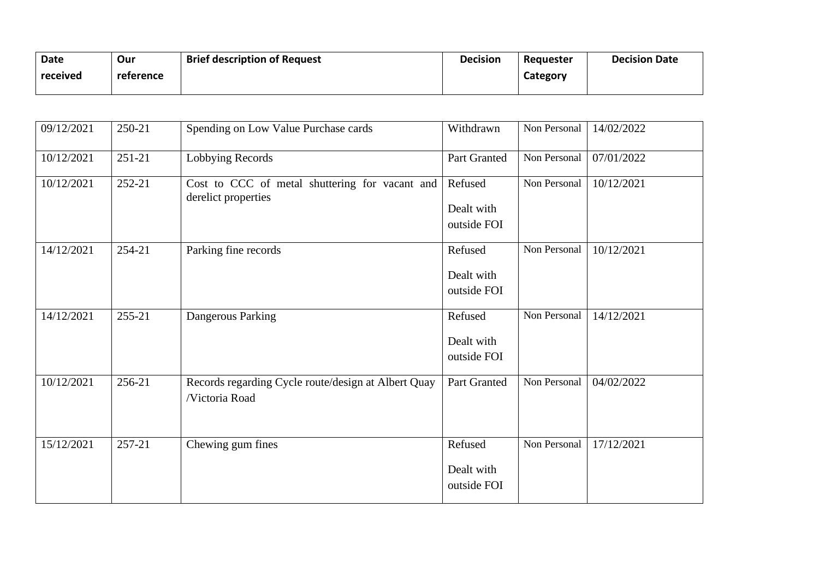| Date     | Our       | <b>Brief description of Request</b> | <b>Decision</b> | Requester | <b>Decision Date</b> |
|----------|-----------|-------------------------------------|-----------------|-----------|----------------------|
| received | reference |                                     |                 | Category  |                      |
|          |           |                                     |                 |           |                      |

| 09/12/2021 | 250-21 | Spending on Low Value Purchase cards                                  | Withdrawn                            | Non Personal | 14/02/2022 |
|------------|--------|-----------------------------------------------------------------------|--------------------------------------|--------------|------------|
| 10/12/2021 | 251-21 | Lobbying Records                                                      | Part Granted                         | Non Personal | 07/01/2022 |
| 10/12/2021 | 252-21 | Cost to CCC of metal shuttering for vacant and<br>derelict properties | Refused<br>Dealt with<br>outside FOI | Non Personal | 10/12/2021 |
| 14/12/2021 | 254-21 | Parking fine records                                                  | Refused<br>Dealt with<br>outside FOI | Non Personal | 10/12/2021 |
| 14/12/2021 | 255-21 | Dangerous Parking                                                     | Refused<br>Dealt with<br>outside FOI | Non Personal | 14/12/2021 |
| 10/12/2021 | 256-21 | Records regarding Cycle route/design at Albert Quay<br>/Victoria Road | Part Granted                         | Non Personal | 04/02/2022 |
| 15/12/2021 | 257-21 | Chewing gum fines                                                     | Refused<br>Dealt with<br>outside FOI | Non Personal | 17/12/2021 |